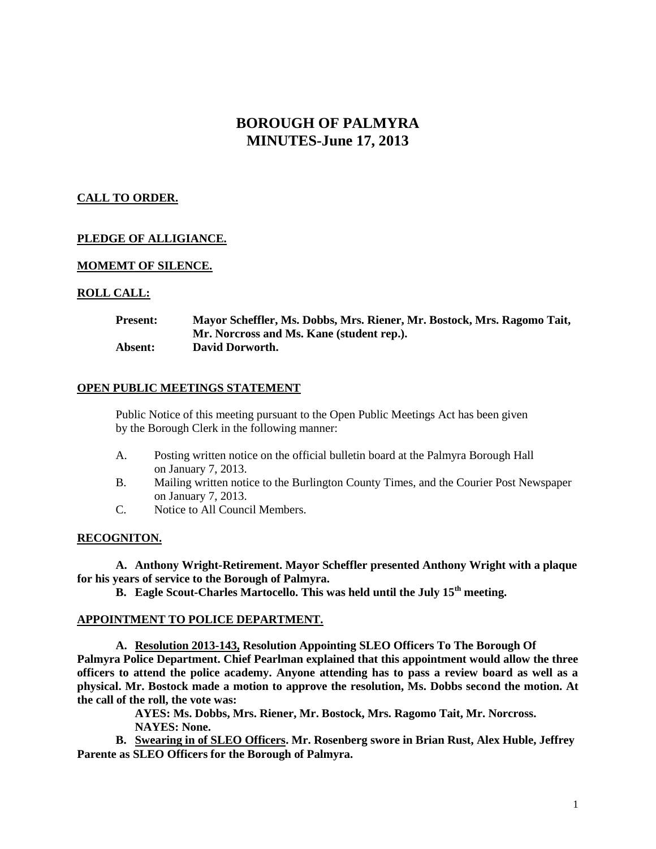# **BOROUGH OF PALMYRA MINUTES-June 17, 2013**

# **CALL TO ORDER.**

# **PLEDGE OF ALLIGIANCE.**

## **MOMEMT OF SILENCE.**

## **ROLL CALL:**

| <b>Present:</b> | Mayor Scheffler, Ms. Dobbs, Mrs. Riener, Mr. Bostock, Mrs. Ragomo Tait, |
|-----------------|-------------------------------------------------------------------------|
|                 | Mr. Norcross and Ms. Kane (student rep.).                               |
| Absent:         | David Dorworth.                                                         |

### **OPEN PUBLIC MEETINGS STATEMENT**

Public Notice of this meeting pursuant to the Open Public Meetings Act has been given by the Borough Clerk in the following manner:

- A. Posting written notice on the official bulletin board at the Palmyra Borough Hall on January 7, 2013.
- B. Mailing written notice to the Burlington County Times, and the Courier Post Newspaper on January 7, 2013.
- C. Notice to All Council Members.

### **RECOGNITON.**

**A. Anthony Wright-Retirement. Mayor Scheffler presented Anthony Wright with a plaque for his years of service to the Borough of Palmyra.**

**B. Eagle Scout-Charles Martocello. This was held until the July 15th meeting.**

### **APPOINTMENT TO POLICE DEPARTMENT.**

**A. Resolution 2013-143, Resolution Appointing SLEO Officers To The Borough Of Palmyra Police Department. Chief Pearlman explained that this appointment would allow the three officers to attend the police academy. Anyone attending has to pass a review board as well as a physical. Mr. Bostock made a motion to approve the resolution, Ms. Dobbs second the motion. At the call of the roll, the vote was:**

> **AYES: Ms. Dobbs, Mrs. Riener, Mr. Bostock, Mrs. Ragomo Tait, Mr. Norcross. NAYES: None.**

**B. Swearing in of SLEO Officers. Mr. Rosenberg swore in Brian Rust, Alex Huble, Jeffrey Parente as SLEO Officers for the Borough of Palmyra.**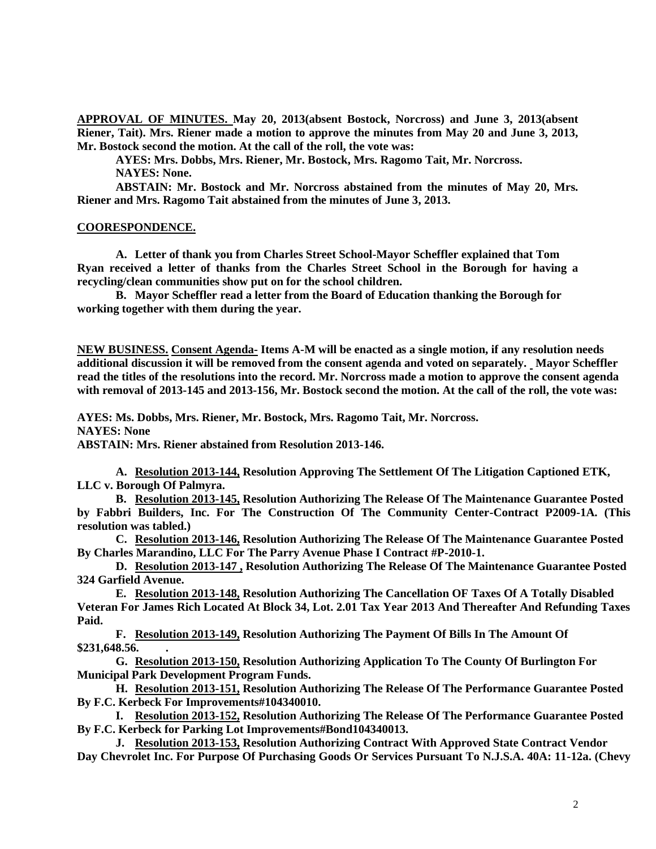**APPROVAL OF MINUTES. May 20, 2013(absent Bostock, Norcross) and June 3, 2013(absent Riener, Tait). Mrs. Riener made a motion to approve the minutes from May 20 and June 3, 2013, Mr. Bostock second the motion. At the call of the roll, the vote was:**

**AYES: Mrs. Dobbs, Mrs. Riener, Mr. Bostock, Mrs. Ragomo Tait, Mr. Norcross. NAYES: None.**

**ABSTAIN: Mr. Bostock and Mr. Norcross abstained from the minutes of May 20, Mrs. Riener and Mrs. Ragomo Tait abstained from the minutes of June 3, 2013.**

#### **COORESPONDENCE.**

**A. Letter of thank you from Charles Street School-Mayor Scheffler explained that Tom Ryan received a letter of thanks from the Charles Street School in the Borough for having a recycling/clean communities show put on for the school children.** 

**B. Mayor Scheffler read a letter from the Board of Education thanking the Borough for working together with them during the year.**

**NEW BUSINESS. Consent Agenda- Items A-M will be enacted as a single motion, if any resolution needs additional discussion it will be removed from the consent agenda and voted on separately. Mayor Scheffler read the titles of the resolutions into the record. Mr. Norcross made a motion to approve the consent agenda with removal of 2013-145 and 2013-156, Mr. Bostock second the motion. At the call of the roll, the vote was:**

**AYES: Ms. Dobbs, Mrs. Riener, Mr. Bostock, Mrs. Ragomo Tait, Mr. Norcross. NAYES: None**

**ABSTAIN: Mrs. Riener abstained from Resolution 2013-146.**

**A. Resolution 2013-144, Resolution Approving The Settlement Of The Litigation Captioned ETK, LLC v. Borough Of Palmyra.**

**B. Resolution 2013-145, Resolution Authorizing The Release Of The Maintenance Guarantee Posted by Fabbri Builders, Inc. For The Construction Of The Community Center-Contract P2009-1A. (This resolution was tabled.)**

**C. Resolution 2013-146, Resolution Authorizing The Release Of The Maintenance Guarantee Posted By Charles Marandino, LLC For The Parry Avenue Phase I Contract #P-2010-1.**

**D. Resolution 2013-147 , Resolution Authorizing The Release Of The Maintenance Guarantee Posted 324 Garfield Avenue.** 

**E. Resolution 2013-148, Resolution Authorizing The Cancellation OF Taxes Of A Totally Disabled Veteran For James Rich Located At Block 34, Lot. 2.01 Tax Year 2013 And Thereafter And Refunding Taxes Paid.** 

**F. Resolution 2013-149, Resolution Authorizing The Payment Of Bills In The Amount Of \$231,648.56. .**

**G. Resolution 2013-150, Resolution Authorizing Application To The County Of Burlington For Municipal Park Development Program Funds.** 

**H. Resolution 2013-151, Resolution Authorizing The Release Of The Performance Guarantee Posted By F.C. Kerbeck For Improvements#104340010.**

**I. Resolution 2013-152, Resolution Authorizing The Release Of The Performance Guarantee Posted By F.C. Kerbeck for Parking Lot Improvements#Bond104340013.**

**J. Resolution 2013-153, Resolution Authorizing Contract With Approved State Contract Vendor Day Chevrolet Inc. For Purpose Of Purchasing Goods Or Services Pursuant To N.J.S.A. 40A: 11-12a. (Chevy**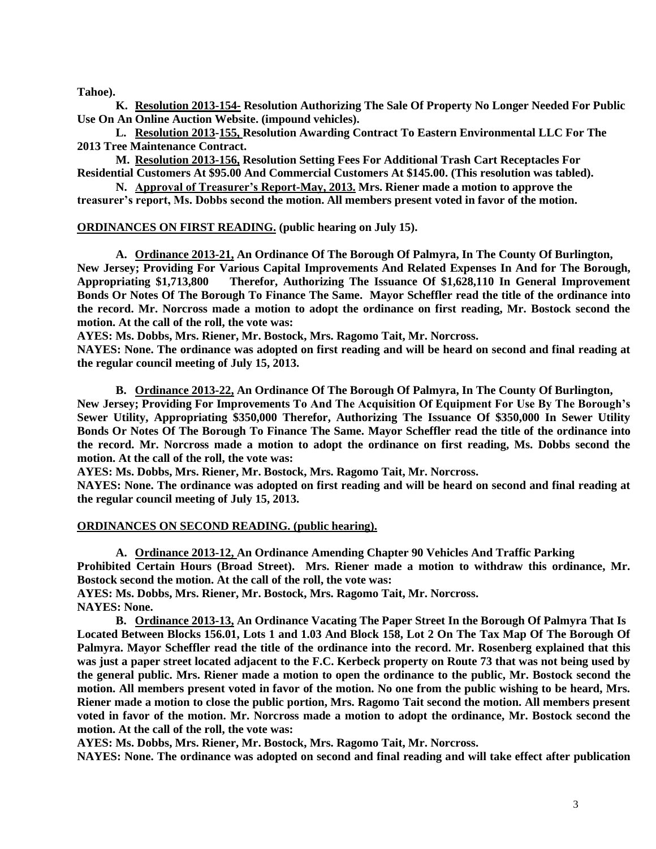**Tahoe).**

**K. Resolution 2013-154- Resolution Authorizing The Sale Of Property No Longer Needed For Public Use On An Online Auction Website. (impound vehicles).**

**L. Resolution 2013-155, Resolution Awarding Contract To Eastern Environmental LLC For The 2013 Tree Maintenance Contract.**

**M. Resolution 2013-156, Resolution Setting Fees For Additional Trash Cart Receptacles For Residential Customers At \$95.00 And Commercial Customers At \$145.00. (This resolution was tabled).**

**N. Approval of Treasurer's Report-May, 2013. Mrs. Riener made a motion to approve the treasurer's report, Ms. Dobbs second the motion. All members present voted in favor of the motion.**

**ORDINANCES ON FIRST READING. (public hearing on July 15).**

**A. Ordinance 2013-21, An Ordinance Of The Borough Of Palmyra, In The County Of Burlington, New Jersey; Providing For Various Capital Improvements And Related Expenses In And for The Borough, Appropriating \$1,713,800 Therefor, Authorizing The Issuance Of \$1,628,110 In General Improvement Bonds Or Notes Of The Borough To Finance The Same. Mayor Scheffler read the title of the ordinance into the record. Mr. Norcross made a motion to adopt the ordinance on first reading, Mr. Bostock second the motion. At the call of the roll, the vote was:**

**AYES: Ms. Dobbs, Mrs. Riener, Mr. Bostock, Mrs. Ragomo Tait, Mr. Norcross.**

**NAYES: None. The ordinance was adopted on first reading and will be heard on second and final reading at the regular council meeting of July 15, 2013.**

**B. Ordinance 2013-22, An Ordinance Of The Borough Of Palmyra, In The County Of Burlington, New Jersey; Providing For Improvements To And The Acquisition Of Equipment For Use By The Borough's** 

**Sewer Utility, Appropriating \$350,000 Therefor, Authorizing The Issuance Of \$350,000 In Sewer Utility Bonds Or Notes Of The Borough To Finance The Same. Mayor Scheffler read the title of the ordinance into the record. Mr. Norcross made a motion to adopt the ordinance on first reading, Ms. Dobbs second the motion. At the call of the roll, the vote was:**

**AYES: Ms. Dobbs, Mrs. Riener, Mr. Bostock, Mrs. Ragomo Tait, Mr. Norcross.**

**NAYES: None. The ordinance was adopted on first reading and will be heard on second and final reading at the regular council meeting of July 15, 2013.**

#### **ORDINANCES ON SECOND READING. (public hearing).**

**A. Ordinance 2013-12, An Ordinance Amending Chapter 90 Vehicles And Traffic Parking**

**Prohibited Certain Hours (Broad Street). Mrs. Riener made a motion to withdraw this ordinance, Mr. Bostock second the motion. At the call of the roll, the vote was:**

**AYES: Ms. Dobbs, Mrs. Riener, Mr. Bostock, Mrs. Ragomo Tait, Mr. Norcross.**

**NAYES: None.**

**B. Ordinance 2013-13, An Ordinance Vacating The Paper Street In the Borough Of Palmyra That Is Located Between Blocks 156.01, Lots 1 and 1.03 And Block 158, Lot 2 On The Tax Map Of The Borough Of Palmyra. Mayor Scheffler read the title of the ordinance into the record. Mr. Rosenberg explained that this was just a paper street located adjacent to the F.C. Kerbeck property on Route 73 that was not being used by the general public. Mrs. Riener made a motion to open the ordinance to the public, Mr. Bostock second the motion. All members present voted in favor of the motion. No one from the public wishing to be heard, Mrs. Riener made a motion to close the public portion, Mrs. Ragomo Tait second the motion. All members present voted in favor of the motion. Mr. Norcross made a motion to adopt the ordinance, Mr. Bostock second the motion. At the call of the roll, the vote was:**

**AYES: Ms. Dobbs, Mrs. Riener, Mr. Bostock, Mrs. Ragomo Tait, Mr. Norcross.**

**NAYES: None. The ordinance was adopted on second and final reading and will take effect after publication**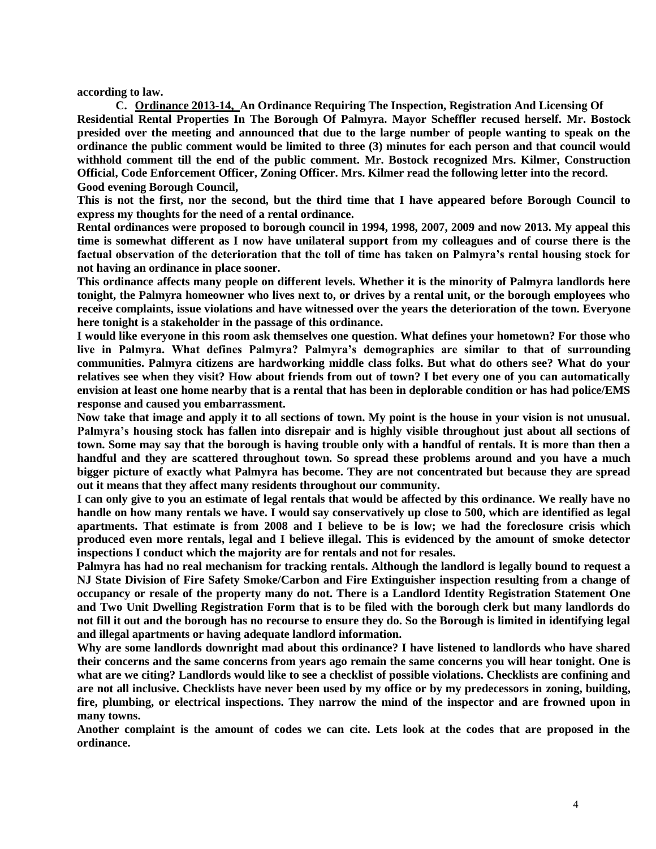**according to law.**

**C. Ordinance 2013-14, An Ordinance Requiring The Inspection, Registration And Licensing Of Residential Rental Properties In The Borough Of Palmyra. Mayor Scheffler recused herself. Mr. Bostock presided over the meeting and announced that due to the large number of people wanting to speak on the ordinance the public comment would be limited to three (3) minutes for each person and that council would withhold comment till the end of the public comment. Mr. Bostock recognized Mrs. Kilmer, Construction Official, Code Enforcement Officer, Zoning Officer. Mrs. Kilmer read the following letter into the record. Good evening Borough Council,**

**This is not the first, nor the second, but the third time that I have appeared before Borough Council to express my thoughts for the need of a rental ordinance.**

**Rental ordinances were proposed to borough council in 1994, 1998, 2007, 2009 and now 2013. My appeal this time is somewhat different as I now have unilateral support from my colleagues and of course there is the factual observation of the deterioration that the toll of time has taken on Palmyra's rental housing stock for not having an ordinance in place sooner.** 

**This ordinance affects many people on different levels. Whether it is the minority of Palmyra landlords here tonight, the Palmyra homeowner who lives next to, or drives by a rental unit, or the borough employees who receive complaints, issue violations and have witnessed over the years the deterioration of the town. Everyone here tonight is a stakeholder in the passage of this ordinance.**

**I would like everyone in this room ask themselves one question. What defines your hometown? For those who live in Palmyra. What defines Palmyra? Palmyra's demographics are similar to that of surrounding communities. Palmyra citizens are hardworking middle class folks. But what do others see? What do your relatives see when they visit? How about friends from out of town? I bet every one of you can automatically envision at least one home nearby that is a rental that has been in deplorable condition or has had police/EMS response and caused you embarrassment.**

**Now take that image and apply it to all sections of town. My point is the house in your vision is not unusual. Palmyra's housing stock has fallen into disrepair and is highly visible throughout just about all sections of town. Some may say that the borough is having trouble only with a handful of rentals. It is more than then a handful and they are scattered throughout town. So spread these problems around and you have a much bigger picture of exactly what Palmyra has become. They are not concentrated but because they are spread out it means that they affect many residents throughout our community.** 

**I can only give to you an estimate of legal rentals that would be affected by this ordinance. We really have no handle on how many rentals we have. I would say conservatively up close to 500, which are identified as legal apartments. That estimate is from 2008 and I believe to be is low; we had the foreclosure crisis which produced even more rentals, legal and I believe illegal. This is evidenced by the amount of smoke detector inspections I conduct which the majority are for rentals and not for resales.**

**Palmyra has had no real mechanism for tracking rentals. Although the landlord is legally bound to request a NJ State Division of Fire Safety Smoke/Carbon and Fire Extinguisher inspection resulting from a change of occupancy or resale of the property many do not. There is a Landlord Identity Registration Statement One and Two Unit Dwelling Registration Form that is to be filed with the borough clerk but many landlords do not fill it out and the borough has no recourse to ensure they do. So the Borough is limited in identifying legal and illegal apartments or having adequate landlord information.** 

**Why are some landlords downright mad about this ordinance? I have listened to landlords who have shared their concerns and the same concerns from years ago remain the same concerns you will hear tonight. One is what are we citing? Landlords would like to see a checklist of possible violations. Checklists are confining and are not all inclusive. Checklists have never been used by my office or by my predecessors in zoning, building, fire, plumbing, or electrical inspections. They narrow the mind of the inspector and are frowned upon in many towns.** 

**Another complaint is the amount of codes we can cite. Lets look at the codes that are proposed in the ordinance.**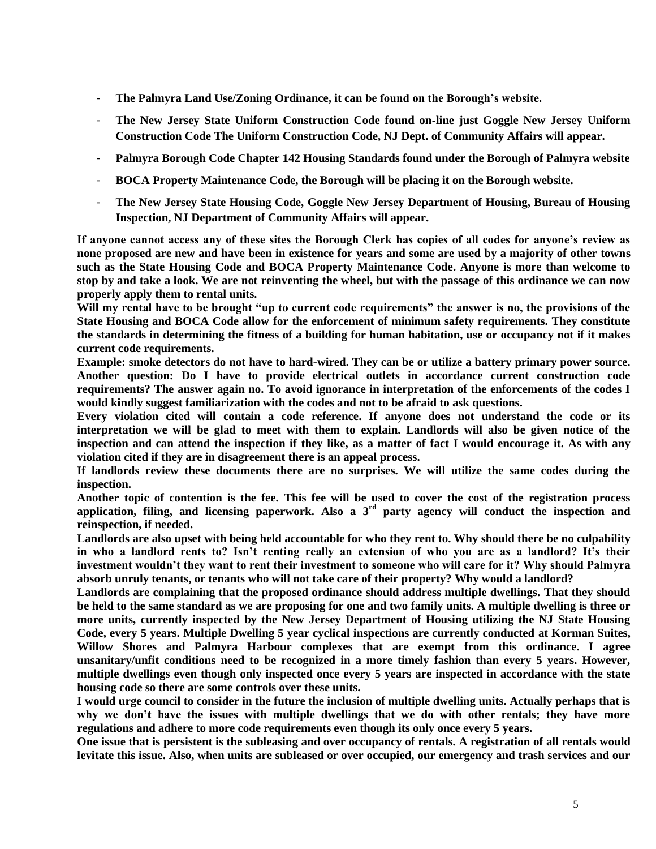- **The Palmyra Land Use/Zoning Ordinance, it can be found on the Borough's website.**
- **The New Jersey State Uniform Construction Code found on-line just Goggle New Jersey Uniform Construction Code The Uniform Construction Code, NJ Dept. of Community Affairs will appear.**
- **Palmyra Borough Code Chapter 142 Housing Standards found under the Borough of Palmyra website**
- **BOCA Property Maintenance Code, the Borough will be placing it on the Borough website.**
- **The New Jersey State Housing Code, Goggle New Jersey Department of Housing, Bureau of Housing Inspection, NJ Department of Community Affairs will appear.**

**If anyone cannot access any of these sites the Borough Clerk has copies of all codes for anyone's review as none proposed are new and have been in existence for years and some are used by a majority of other towns such as the State Housing Code and BOCA Property Maintenance Code. Anyone is more than welcome to stop by and take a look. We are not reinventing the wheel, but with the passage of this ordinance we can now properly apply them to rental units.** 

**Will my rental have to be brought "up to current code requirements" the answer is no, the provisions of the State Housing and BOCA Code allow for the enforcement of minimum safety requirements. They constitute the standards in determining the fitness of a building for human habitation, use or occupancy not if it makes current code requirements.** 

**Example: smoke detectors do not have to hard-wired. They can be or utilize a battery primary power source. Another question: Do I have to provide electrical outlets in accordance current construction code requirements? The answer again no. To avoid ignorance in interpretation of the enforcements of the codes I would kindly suggest familiarization with the codes and not to be afraid to ask questions.**

**Every violation cited will contain a code reference. If anyone does not understand the code or its interpretation we will be glad to meet with them to explain. Landlords will also be given notice of the inspection and can attend the inspection if they like, as a matter of fact I would encourage it. As with any violation cited if they are in disagreement there is an appeal process.**

**If landlords review these documents there are no surprises. We will utilize the same codes during the inspection.**

**Another topic of contention is the fee. This fee will be used to cover the cost of the registration process application, filing, and licensing paperwork. Also a 3rd party agency will conduct the inspection and reinspection, if needed.** 

**Landlords are also upset with being held accountable for who they rent to. Why should there be no culpability in who a landlord rents to? Isn't renting really an extension of who you are as a landlord? It's their investment wouldn't they want to rent their investment to someone who will care for it? Why should Palmyra absorb unruly tenants, or tenants who will not take care of their property? Why would a landlord?**

**Landlords are complaining that the proposed ordinance should address multiple dwellings. That they should be held to the same standard as we are proposing for one and two family units. A multiple dwelling is three or more units, currently inspected by the New Jersey Department of Housing utilizing the NJ State Housing Code, every 5 years. Multiple Dwelling 5 year cyclical inspections are currently conducted at Korman Suites, Willow Shores and Palmyra Harbour complexes that are exempt from this ordinance. I agree unsanitary/unfit conditions need to be recognized in a more timely fashion than every 5 years. However, multiple dwellings even though only inspected once every 5 years are inspected in accordance with the state housing code so there are some controls over these units.** 

**I would urge council to consider in the future the inclusion of multiple dwelling units. Actually perhaps that is why we don't have the issues with multiple dwellings that we do with other rentals; they have more regulations and adhere to more code requirements even though its only once every 5 years.**

**One issue that is persistent is the subleasing and over occupancy of rentals. A registration of all rentals would levitate this issue. Also, when units are subleased or over occupied, our emergency and trash services and our**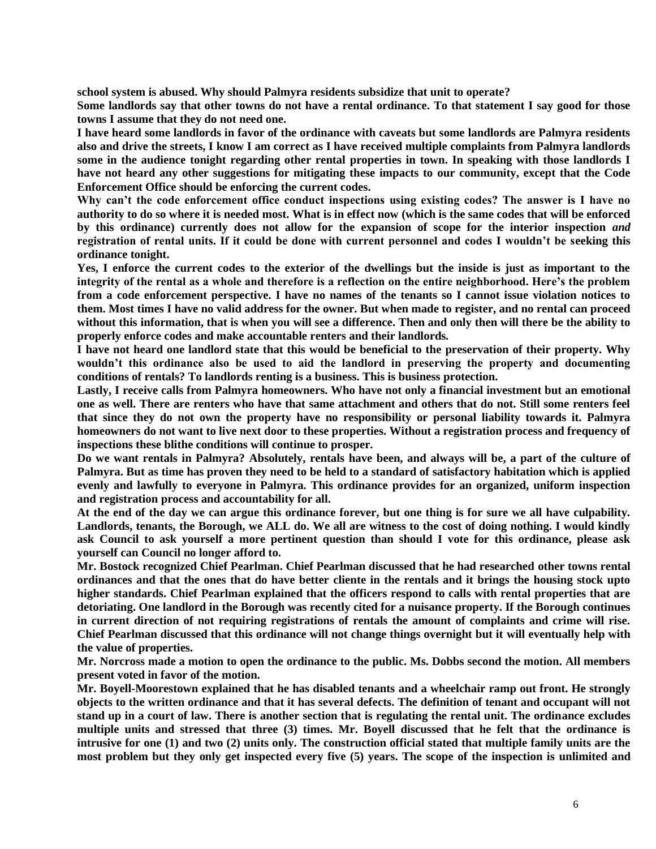**school system is abused. Why should Palmyra residents subsidize that unit to operate?**

**Some landlords say that other towns do not have a rental ordinance. To that statement I say good for those towns I assume that they do not need one.**

**I have heard some landlords in favor of the ordinance with caveats but some landlords are Palmyra residents also and drive the streets, I know I am correct as I have received multiple complaints from Palmyra landlords some in the audience tonight regarding other rental properties in town. In speaking with those landlords I have not heard any other suggestions for mitigating these impacts to our community, except that the Code Enforcement Office should be enforcing the current codes.**

**Why can't the code enforcement office conduct inspections using existing codes? The answer is I have no authority to do so where it is needed most. What is in effect now (which is the same codes that will be enforced by this ordinance) currently does not allow for the expansion of scope for the interior inspection** *and* **registration of rental units. If it could be done with current personnel and codes I wouldn't be seeking this ordinance tonight.** 

**Yes, I enforce the current codes to the exterior of the dwellings but the inside is just as important to the integrity of the rental as a whole and therefore is a reflection on the entire neighborhood. Here's the problem from a code enforcement perspective. I have no names of the tenants so I cannot issue violation notices to them. Most times I have no valid address for the owner. But when made to register, and no rental can proceed without this information, that is when you will see a difference. Then and only then will there be the ability to properly enforce codes and make accountable renters and their landlords***.*

**I have not heard one landlord state that this would be beneficial to the preservation of their property. Why wouldn't this ordinance also be used to aid the landlord in preserving the property and documenting conditions of rentals? To landlords renting is a business. This is business protection.**

**Lastly, I receive calls from Palmyra homeowners. Who have not only a financial investment but an emotional one as well. There are renters who have that same attachment and others that do not. Still some renters feel that since they do not own the property have no responsibility or personal liability towards it. Palmyra homeowners do not want to live next door to these properties. Without a registration process and frequency of inspections these blithe conditions will continue to prosper.**

**Do we want rentals in Palmyra? Absolutely, rentals have been, and always will be, a part of the culture of Palmyra. But as time has proven they need to be held to a standard of satisfactory habitation which is applied evenly and lawfully to everyone in Palmyra. This ordinance provides for an organized, uniform inspection and registration process and accountability for all.**

**At the end of the day we can argue this ordinance forever, but one thing is for sure we all have culpability. Landlords, tenants, the Borough, we ALL do. We all are witness to the cost of doing nothing. I would kindly ask Council to ask yourself a more pertinent question than should I vote for this ordinance, please ask yourself can Council no longer afford to.** 

**Mr. Bostock recognized Chief Pearlman. Chief Pearlman discussed that he had researched other towns rental ordinances and that the ones that do have better cliente in the rentals and it brings the housing stock upto higher standards. Chief Pearlman explained that the officers respond to calls with rental properties that are detoriating. One landlord in the Borough was recently cited for a nuisance property. If the Borough continues in current direction of not requiring registrations of rentals the amount of complaints and crime will rise. Chief Pearlman discussed that this ordinance will not change things overnight but it will eventually help with the value of properties.** 

**Mr. Norcross made a motion to open the ordinance to the public. Ms. Dobbs second the motion. All members present voted in favor of the motion.**

**Mr. Boyell-Moorestown explained that he has disabled tenants and a wheelchair ramp out front. He strongly objects to the written ordinance and that it has several defects. The definition of tenant and occupant will not stand up in a court of law. There is another section that is regulating the rental unit. The ordinance excludes multiple units and stressed that three (3) times. Mr. Boyell discussed that he felt that the ordinance is intrusive for one (1) and two (2) units only. The construction official stated that multiple family units are the most problem but they only get inspected every five (5) years. The scope of the inspection is unlimited and**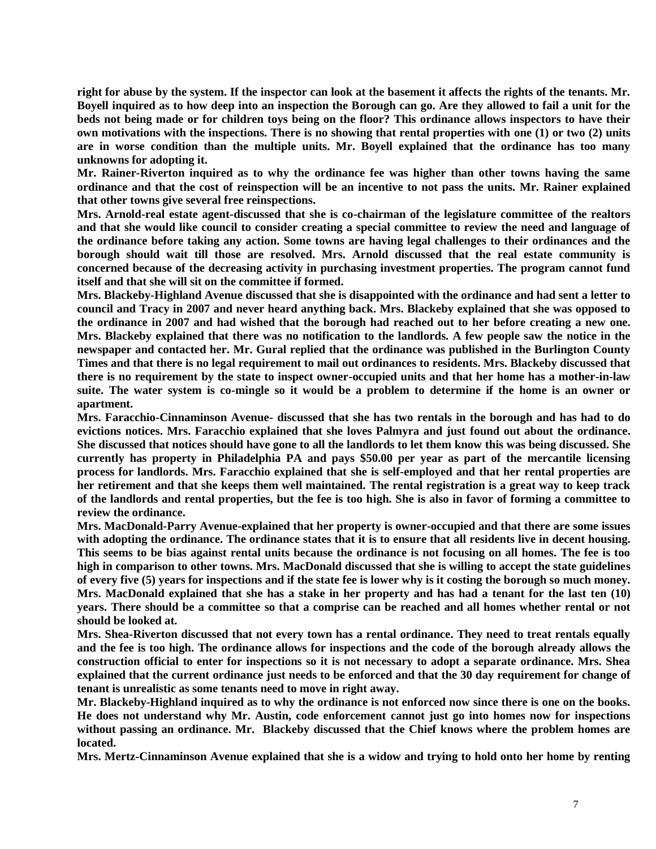**right for abuse by the system. If the inspector can look at the basement it affects the rights of the tenants. Mr. Boyell inquired as to how deep into an inspection the Borough can go. Are they allowed to fail a unit for the beds not being made or for children toys being on the floor? This ordinance allows inspectors to have their own motivations with the inspections. There is no showing that rental properties with one (1) or two (2) units are in worse condition than the multiple units. Mr. Boyell explained that the ordinance has too many unknowns for adopting it.** 

**Mr. Rainer-Riverton inquired as to why the ordinance fee was higher than other towns having the same ordinance and that the cost of reinspection will be an incentive to not pass the units. Mr. Rainer explained that other towns give several free reinspections.**

**Mrs. Arnold-real estate agent-discussed that she is co-chairman of the legislature committee of the realtors and that she would like council to consider creating a special committee to review the need and language of the ordinance before taking any action. Some towns are having legal challenges to their ordinances and the borough should wait till those are resolved. Mrs. Arnold discussed that the real estate community is concerned because of the decreasing activity in purchasing investment properties. The program cannot fund itself and that she will sit on the committee if formed.**

**Mrs. Blackeby-Highland Avenue discussed that she is disappointed with the ordinance and had sent a letter to council and Tracy in 2007 and never heard anything back. Mrs. Blackeby explained that she was opposed to the ordinance in 2007 and had wished that the borough had reached out to her before creating a new one. Mrs. Blackeby explained that there was no notification to the landlords. A few people saw the notice in the newspaper and contacted her. Mr. Gural replied that the ordinance was published in the Burlington County Times and that there is no legal requirement to mail out ordinances to residents. Mrs. Blackeby discussed that there is no requirement by the state to inspect owner-occupied units and that her home has a mother-in-law suite. The water system is co-mingle so it would be a problem to determine if the home is an owner or apartment.** 

**Mrs. Faracchio-Cinnaminson Avenue- discussed that she has two rentals in the borough and has had to do evictions notices. Mrs. Faracchio explained that she loves Palmyra and just found out about the ordinance. She discussed that notices should have gone to all the landlords to let them know this was being discussed. She currently has property in Philadelphia PA and pays \$50.00 per year as part of the mercantile licensing process for landlords. Mrs. Faracchio explained that she is self-employed and that her rental properties are her retirement and that she keeps them well maintained. The rental registration is a great way to keep track of the landlords and rental properties, but the fee is too high. She is also in favor of forming a committee to review the ordinance.**

**Mrs. MacDonald-Parry Avenue-explained that her property is owner-occupied and that there are some issues with adopting the ordinance. The ordinance states that it is to ensure that all residents live in decent housing. This seems to be bias against rental units because the ordinance is not focusing on all homes. The fee is too high in comparison to other towns. Mrs. MacDonald discussed that she is willing to accept the state guidelines of every five (5) years for inspections and if the state fee is lower why is it costing the borough so much money. Mrs. MacDonald explained that she has a stake in her property and has had a tenant for the last ten (10) years. There should be a committee so that a comprise can be reached and all homes whether rental or not should be looked at.** 

**Mrs. Shea-Riverton discussed that not every town has a rental ordinance. They need to treat rentals equally and the fee is too high. The ordinance allows for inspections and the code of the borough already allows the construction official to enter for inspections so it is not necessary to adopt a separate ordinance. Mrs. Shea explained that the current ordinance just needs to be enforced and that the 30 day requirement for change of tenant is unrealistic as some tenants need to move in right away.** 

**Mr. Blackeby-Highland inquired as to why the ordinance is not enforced now since there is one on the books. He does not understand why Mr. Austin, code enforcement cannot just go into homes now for inspections without passing an ordinance. Mr. Blackeby discussed that the Chief knows where the problem homes are located.** 

**Mrs. Mertz-Cinnaminson Avenue explained that she is a widow and trying to hold onto her home by renting**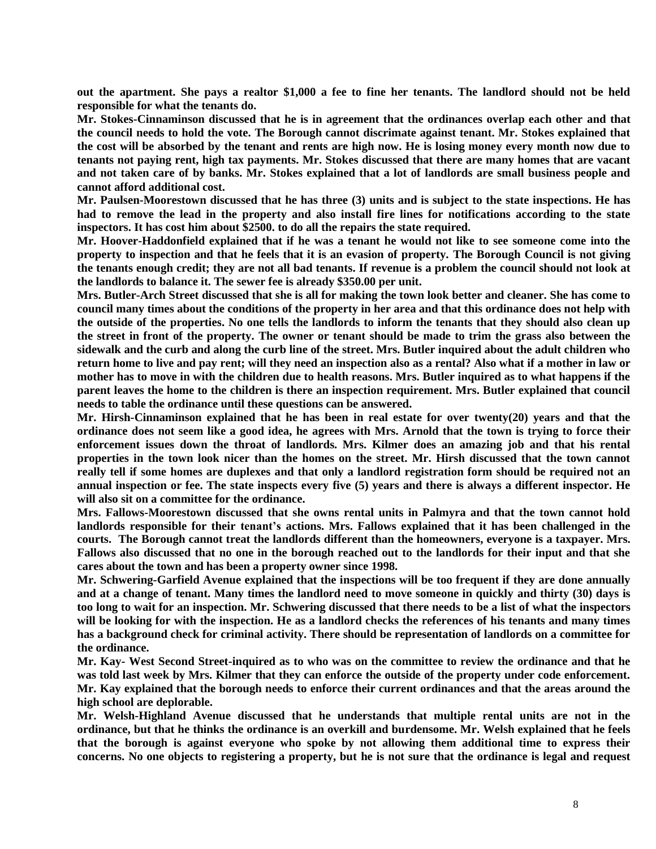**out the apartment. She pays a realtor \$1,000 a fee to fine her tenants. The landlord should not be held responsible for what the tenants do.** 

**Mr. Stokes-Cinnaminson discussed that he is in agreement that the ordinances overlap each other and that the council needs to hold the vote. The Borough cannot discrimate against tenant. Mr. Stokes explained that the cost will be absorbed by the tenant and rents are high now. He is losing money every month now due to tenants not paying rent, high tax payments. Mr. Stokes discussed that there are many homes that are vacant and not taken care of by banks. Mr. Stokes explained that a lot of landlords are small business people and cannot afford additional cost.** 

**Mr. Paulsen-Moorestown discussed that he has three (3) units and is subject to the state inspections. He has had to remove the lead in the property and also install fire lines for notifications according to the state inspectors. It has cost him about \$2500. to do all the repairs the state required.** 

**Mr. Hoover-Haddonfield explained that if he was a tenant he would not like to see someone come into the property to inspection and that he feels that it is an evasion of property. The Borough Council is not giving the tenants enough credit; they are not all bad tenants. If revenue is a problem the council should not look at the landlords to balance it. The sewer fee is already \$350.00 per unit.**

**Mrs. Butler-Arch Street discussed that she is all for making the town look better and cleaner. She has come to council many times about the conditions of the property in her area and that this ordinance does not help with the outside of the properties. No one tells the landlords to inform the tenants that they should also clean up the street in front of the property. The owner or tenant should be made to trim the grass also between the sidewalk and the curb and along the curb line of the street. Mrs. Butler inquired about the adult children who return home to live and pay rent; will they need an inspection also as a rental? Also what if a mother in law or mother has to move in with the children due to health reasons. Mrs. Butler inquired as to what happens if the parent leaves the home to the children is there an inspection requirement. Mrs. Butler explained that council needs to table the ordinance until these questions can be answered.** 

**Mr. Hirsh-Cinnaminson explained that he has been in real estate for over twenty(20) years and that the ordinance does not seem like a good idea, he agrees with Mrs. Arnold that the town is trying to force their enforcement issues down the throat of landlords. Mrs. Kilmer does an amazing job and that his rental properties in the town look nicer than the homes on the street. Mr. Hirsh discussed that the town cannot really tell if some homes are duplexes and that only a landlord registration form should be required not an annual inspection or fee. The state inspects every five (5) years and there is always a different inspector. He will also sit on a committee for the ordinance.**

**Mrs. Fallows-Moorestown discussed that she owns rental units in Palmyra and that the town cannot hold landlords responsible for their tenant's actions. Mrs. Fallows explained that it has been challenged in the courts. The Borough cannot treat the landlords different than the homeowners, everyone is a taxpayer. Mrs. Fallows also discussed that no one in the borough reached out to the landlords for their input and that she cares about the town and has been a property owner since 1998.** 

**Mr. Schwering-Garfield Avenue explained that the inspections will be too frequent if they are done annually and at a change of tenant. Many times the landlord need to move someone in quickly and thirty (30) days is too long to wait for an inspection. Mr. Schwering discussed that there needs to be a list of what the inspectors will be looking for with the inspection. He as a landlord checks the references of his tenants and many times has a background check for criminal activity. There should be representation of landlords on a committee for the ordinance.** 

**Mr. Kay- West Second Street-inquired as to who was on the committee to review the ordinance and that he was told last week by Mrs. Kilmer that they can enforce the outside of the property under code enforcement. Mr. Kay explained that the borough needs to enforce their current ordinances and that the areas around the high school are deplorable.** 

**Mr. Welsh-Highland Avenue discussed that he understands that multiple rental units are not in the ordinance, but that he thinks the ordinance is an overkill and burdensome. Mr. Welsh explained that he feels that the borough is against everyone who spoke by not allowing them additional time to express their concerns. No one objects to registering a property, but he is not sure that the ordinance is legal and request**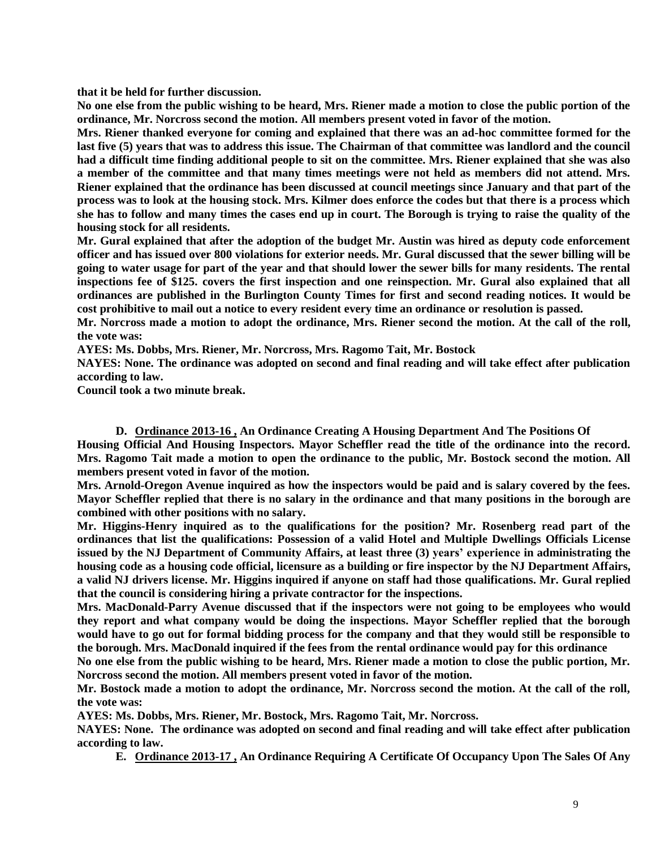**that it be held for further discussion.**

**No one else from the public wishing to be heard, Mrs. Riener made a motion to close the public portion of the ordinance, Mr. Norcross second the motion. All members present voted in favor of the motion.**

**Mrs. Riener thanked everyone for coming and explained that there was an ad-hoc committee formed for the last five (5) years that was to address this issue. The Chairman of that committee was landlord and the council had a difficult time finding additional people to sit on the committee. Mrs. Riener explained that she was also a member of the committee and that many times meetings were not held as members did not attend. Mrs. Riener explained that the ordinance has been discussed at council meetings since January and that part of the process was to look at the housing stock. Mrs. Kilmer does enforce the codes but that there is a process which she has to follow and many times the cases end up in court. The Borough is trying to raise the quality of the housing stock for all residents.** 

**Mr. Gural explained that after the adoption of the budget Mr. Austin was hired as deputy code enforcement officer and has issued over 800 violations for exterior needs. Mr. Gural discussed that the sewer billing will be going to water usage for part of the year and that should lower the sewer bills for many residents. The rental inspections fee of \$125. covers the first inspection and one reinspection. Mr. Gural also explained that all ordinances are published in the Burlington County Times for first and second reading notices. It would be cost prohibitive to mail out a notice to every resident every time an ordinance or resolution is passed.** 

**Mr. Norcross made a motion to adopt the ordinance, Mrs. Riener second the motion. At the call of the roll, the vote was:**

**AYES: Ms. Dobbs, Mrs. Riener, Mr. Norcross, Mrs. Ragomo Tait, Mr. Bostock**

**NAYES: None. The ordinance was adopted on second and final reading and will take effect after publication according to law.** 

**Council took a two minute break.** 

**D. Ordinance 2013-16 , An Ordinance Creating A Housing Department And The Positions Of Housing Official And Housing Inspectors. Mayor Scheffler read the title of the ordinance into the record. Mrs. Ragomo Tait made a motion to open the ordinance to the public, Mr. Bostock second the motion. All members present voted in favor of the motion.**

**Mrs. Arnold-Oregon Avenue inquired as how the inspectors would be paid and is salary covered by the fees. Mayor Scheffler replied that there is no salary in the ordinance and that many positions in the borough are combined with other positions with no salary.** 

**Mr. Higgins-Henry inquired as to the qualifications for the position? Mr. Rosenberg read part of the ordinances that list the qualifications: Possession of a valid Hotel and Multiple Dwellings Officials License issued by the NJ Department of Community Affairs, at least three (3) years' experience in administrating the housing code as a housing code official, licensure as a building or fire inspector by the NJ Department Affairs, a valid NJ drivers license. Mr. Higgins inquired if anyone on staff had those qualifications. Mr. Gural replied that the council is considering hiring a private contractor for the inspections.**

**Mrs. MacDonald-Parry Avenue discussed that if the inspectors were not going to be employees who would they report and what company would be doing the inspections. Mayor Scheffler replied that the borough would have to go out for formal bidding process for the company and that they would still be responsible to the borough. Mrs. MacDonald inquired if the fees from the rental ordinance would pay for this ordinance**

**No one else from the public wishing to be heard, Mrs. Riener made a motion to close the public portion, Mr. Norcross second the motion. All members present voted in favor of the motion.** 

**Mr. Bostock made a motion to adopt the ordinance, Mr. Norcross second the motion. At the call of the roll, the vote was:**

**AYES: Ms. Dobbs, Mrs. Riener, Mr. Bostock, Mrs. Ragomo Tait, Mr. Norcross.**

**NAYES: None. The ordinance was adopted on second and final reading and will take effect after publication according to law.** 

**E. Ordinance 2013-17 , An Ordinance Requiring A Certificate Of Occupancy Upon The Sales Of Any**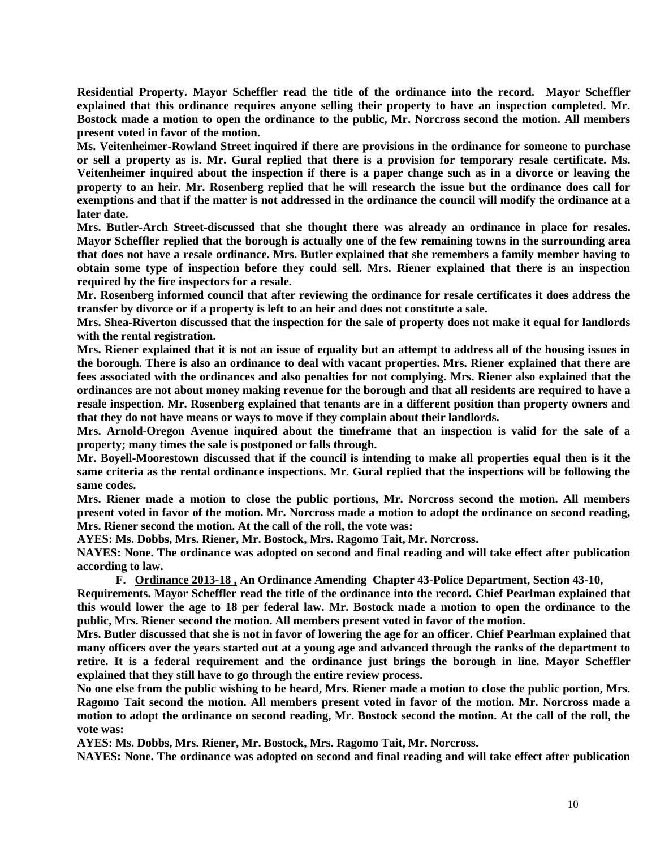**Residential Property. Mayor Scheffler read the title of the ordinance into the record. Mayor Scheffler explained that this ordinance requires anyone selling their property to have an inspection completed. Mr. Bostock made a motion to open the ordinance to the public, Mr. Norcross second the motion. All members present voted in favor of the motion.** 

**Ms. Veitenheimer-Rowland Street inquired if there are provisions in the ordinance for someone to purchase or sell a property as is. Mr. Gural replied that there is a provision for temporary resale certificate. Ms. Veitenheimer inquired about the inspection if there is a paper change such as in a divorce or leaving the property to an heir. Mr. Rosenberg replied that he will research the issue but the ordinance does call for exemptions and that if the matter is not addressed in the ordinance the council will modify the ordinance at a later date.** 

**Mrs. Butler-Arch Street-discussed that she thought there was already an ordinance in place for resales. Mayor Scheffler replied that the borough is actually one of the few remaining towns in the surrounding area that does not have a resale ordinance. Mrs. Butler explained that she remembers a family member having to obtain some type of inspection before they could sell. Mrs. Riener explained that there is an inspection required by the fire inspectors for a resale.** 

**Mr. Rosenberg informed council that after reviewing the ordinance for resale certificates it does address the transfer by divorce or if a property is left to an heir and does not constitute a sale.** 

**Mrs. Shea-Riverton discussed that the inspection for the sale of property does not make it equal for landlords with the rental registration.** 

**Mrs. Riener explained that it is not an issue of equality but an attempt to address all of the housing issues in the borough. There is also an ordinance to deal with vacant properties. Mrs. Riener explained that there are fees associated with the ordinances and also penalties for not complying. Mrs. Riener also explained that the ordinances are not about money making revenue for the borough and that all residents are required to have a resale inspection. Mr. Rosenberg explained that tenants are in a different position than property owners and that they do not have means or ways to move if they complain about their landlords.** 

**Mrs. Arnold-Oregon Avenue inquired about the timeframe that an inspection is valid for the sale of a property; many times the sale is postponed or falls through.** 

**Mr. Boyell-Moorestown discussed that if the council is intending to make all properties equal then is it the same criteria as the rental ordinance inspections. Mr. Gural replied that the inspections will be following the same codes.** 

**Mrs. Riener made a motion to close the public portions, Mr. Norcross second the motion. All members present voted in favor of the motion. Mr. Norcross made a motion to adopt the ordinance on second reading, Mrs. Riener second the motion. At the call of the roll, the vote was:**

**AYES: Ms. Dobbs, Mrs. Riener, Mr. Bostock, Mrs. Ragomo Tait, Mr. Norcross.**

**NAYES: None. The ordinance was adopted on second and final reading and will take effect after publication according to law.**

**F. Ordinance 2013-18 , An Ordinance Amending Chapter 43-Police Department, Section 43-10,**

**Requirements. Mayor Scheffler read the title of the ordinance into the record. Chief Pearlman explained that this would lower the age to 18 per federal law. Mr. Bostock made a motion to open the ordinance to the public, Mrs. Riener second the motion. All members present voted in favor of the motion.** 

**Mrs. Butler discussed that she is not in favor of lowering the age for an officer. Chief Pearlman explained that many officers over the years started out at a young age and advanced through the ranks of the department to retire. It is a federal requirement and the ordinance just brings the borough in line. Mayor Scheffler explained that they still have to go through the entire review process.**

**No one else from the public wishing to be heard, Mrs. Riener made a motion to close the public portion, Mrs. Ragomo Tait second the motion. All members present voted in favor of the motion. Mr. Norcross made a motion to adopt the ordinance on second reading, Mr. Bostock second the motion. At the call of the roll, the vote was:**

**AYES: Ms. Dobbs, Mrs. Riener, Mr. Bostock, Mrs. Ragomo Tait, Mr. Norcross.**

**NAYES: None. The ordinance was adopted on second and final reading and will take effect after publication**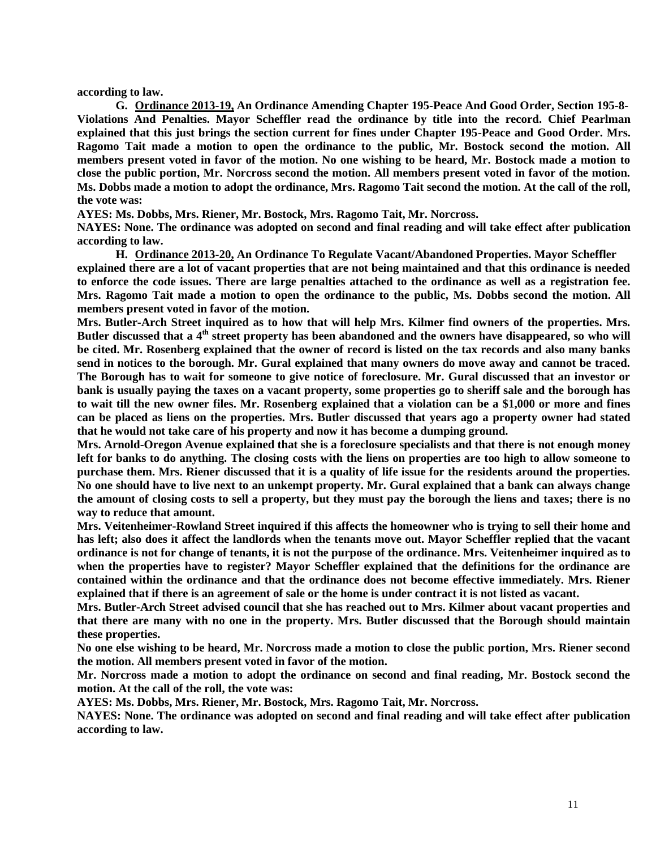**according to law.**

**G. Ordinance 2013-19, An Ordinance Amending Chapter 195-Peace And Good Order, Section 195-8- Violations And Penalties. Mayor Scheffler read the ordinance by title into the record. Chief Pearlman explained that this just brings the section current for fines under Chapter 195-Peace and Good Order. Mrs. Ragomo Tait made a motion to open the ordinance to the public, Mr. Bostock second the motion. All members present voted in favor of the motion. No one wishing to be heard, Mr. Bostock made a motion to close the public portion, Mr. Norcross second the motion. All members present voted in favor of the motion. Ms. Dobbs made a motion to adopt the ordinance, Mrs. Ragomo Tait second the motion. At the call of the roll, the vote was:**

**AYES: Ms. Dobbs, Mrs. Riener, Mr. Bostock, Mrs. Ragomo Tait, Mr. Norcross.**

**NAYES: None. The ordinance was adopted on second and final reading and will take effect after publication according to law.**

**H. Ordinance 2013-20, An Ordinance To Regulate Vacant/Abandoned Properties. Mayor Scheffler explained there are a lot of vacant properties that are not being maintained and that this ordinance is needed to enforce the code issues. There are large penalties attached to the ordinance as well as a registration fee. Mrs. Ragomo Tait made a motion to open the ordinance to the public, Ms. Dobbs second the motion. All members present voted in favor of the motion.** 

**Mrs. Butler-Arch Street inquired as to how that will help Mrs. Kilmer find owners of the properties. Mrs.**  Butler discussed that a 4<sup>th</sup> street property has been abandoned and the owners have disappeared, so who will **be cited. Mr. Rosenberg explained that the owner of record is listed on the tax records and also many banks send in notices to the borough. Mr. Gural explained that many owners do move away and cannot be traced. The Borough has to wait for someone to give notice of foreclosure. Mr. Gural discussed that an investor or bank is usually paying the taxes on a vacant property, some properties go to sheriff sale and the borough has to wait till the new owner files. Mr. Rosenberg explained that a violation can be a \$1,000 or more and fines can be placed as liens on the properties. Mrs. Butler discussed that years ago a property owner had stated that he would not take care of his property and now it has become a dumping ground.**

**Mrs. Arnold-Oregon Avenue explained that she is a foreclosure specialists and that there is not enough money left for banks to do anything. The closing costs with the liens on properties are too high to allow someone to purchase them. Mrs. Riener discussed that it is a quality of life issue for the residents around the properties. No one should have to live next to an unkempt property. Mr. Gural explained that a bank can always change the amount of closing costs to sell a property, but they must pay the borough the liens and taxes; there is no way to reduce that amount.** 

**Mrs. Veitenheimer-Rowland Street inquired if this affects the homeowner who is trying to sell their home and has left; also does it affect the landlords when the tenants move out. Mayor Scheffler replied that the vacant ordinance is not for change of tenants, it is not the purpose of the ordinance. Mrs. Veitenheimer inquired as to when the properties have to register? Mayor Scheffler explained that the definitions for the ordinance are contained within the ordinance and that the ordinance does not become effective immediately. Mrs. Riener explained that if there is an agreement of sale or the home is under contract it is not listed as vacant.** 

**Mrs. Butler-Arch Street advised council that she has reached out to Mrs. Kilmer about vacant properties and that there are many with no one in the property. Mrs. Butler discussed that the Borough should maintain these properties.**

**No one else wishing to be heard, Mr. Norcross made a motion to close the public portion, Mrs. Riener second the motion. All members present voted in favor of the motion.**

**Mr. Norcross made a motion to adopt the ordinance on second and final reading, Mr. Bostock second the motion. At the call of the roll, the vote was:**

**AYES: Ms. Dobbs, Mrs. Riener, Mr. Bostock, Mrs. Ragomo Tait, Mr. Norcross.**

**NAYES: None. The ordinance was adopted on second and final reading and will take effect after publication according to law.**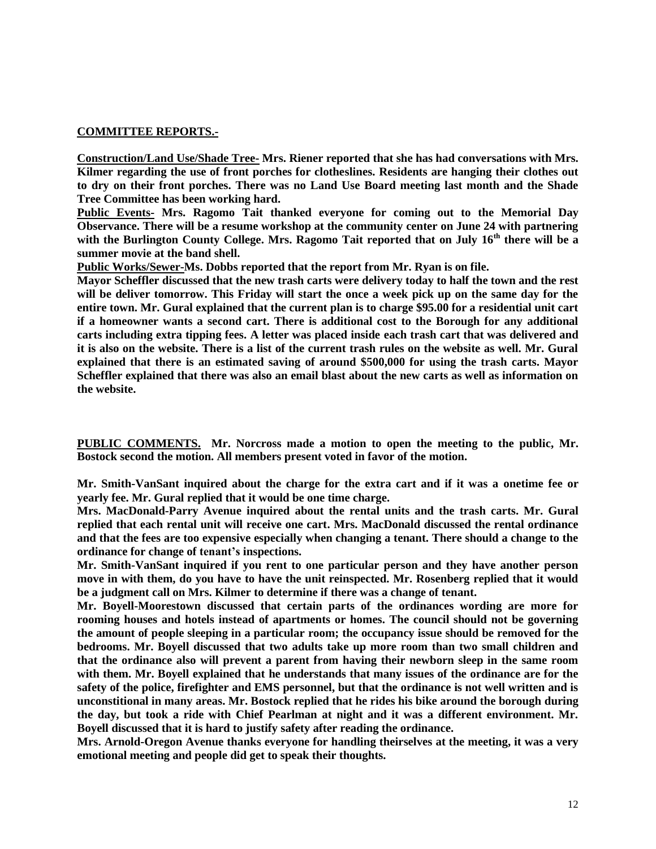#### **COMMITTEE REPORTS.-**

**Construction/Land Use/Shade Tree- Mrs. Riener reported that she has had conversations with Mrs. Kilmer regarding the use of front porches for clotheslines. Residents are hanging their clothes out to dry on their front porches. There was no Land Use Board meeting last month and the Shade Tree Committee has been working hard.**

**Public Events- Mrs. Ragomo Tait thanked everyone for coming out to the Memorial Day Observance. There will be a resume workshop at the community center on June 24 with partnering**  with the Burlington County College. Mrs. Ragomo Tait reported that on July 16<sup>th</sup> there will be a **summer movie at the band shell.**

**Public Works/Sewer-Ms. Dobbs reported that the report from Mr. Ryan is on file.** 

**Mayor Scheffler discussed that the new trash carts were delivery today to half the town and the rest will be deliver tomorrow. This Friday will start the once a week pick up on the same day for the entire town. Mr. Gural explained that the current plan is to charge \$95.00 for a residential unit cart if a homeowner wants a second cart. There is additional cost to the Borough for any additional carts including extra tipping fees. A letter was placed inside each trash cart that was delivered and it is also on the website. There is a list of the current trash rules on the website as well. Mr. Gural explained that there is an estimated saving of around \$500,000 for using the trash carts. Mayor Scheffler explained that there was also an email blast about the new carts as well as information on the website.** 

**PUBLIC COMMENTS. Mr. Norcross made a motion to open the meeting to the public, Mr. Bostock second the motion. All members present voted in favor of the motion.**

**Mr. Smith-VanSant inquired about the charge for the extra cart and if it was a onetime fee or yearly fee. Mr. Gural replied that it would be one time charge.**

**Mrs. MacDonald-Parry Avenue inquired about the rental units and the trash carts. Mr. Gural replied that each rental unit will receive one cart. Mrs. MacDonald discussed the rental ordinance and that the fees are too expensive especially when changing a tenant. There should a change to the ordinance for change of tenant's inspections.**

**Mr. Smith-VanSant inquired if you rent to one particular person and they have another person move in with them, do you have to have the unit reinspected. Mr. Rosenberg replied that it would be a judgment call on Mrs. Kilmer to determine if there was a change of tenant.** 

**Mr. Boyell-Moorestown discussed that certain parts of the ordinances wording are more for rooming houses and hotels instead of apartments or homes. The council should not be governing the amount of people sleeping in a particular room; the occupancy issue should be removed for the bedrooms. Mr. Boyell discussed that two adults take up more room than two small children and that the ordinance also will prevent a parent from having their newborn sleep in the same room with them. Mr. Boyell explained that he understands that many issues of the ordinance are for the safety of the police, firefighter and EMS personnel, but that the ordinance is not well written and is unconstitional in many areas. Mr. Bostock replied that he rides his bike around the borough during the day, but took a ride with Chief Pearlman at night and it was a different environment. Mr. Boyell discussed that it is hard to justify safety after reading the ordinance.** 

**Mrs. Arnold-Oregon Avenue thanks everyone for handling theirselves at the meeting, it was a very emotional meeting and people did get to speak their thoughts.**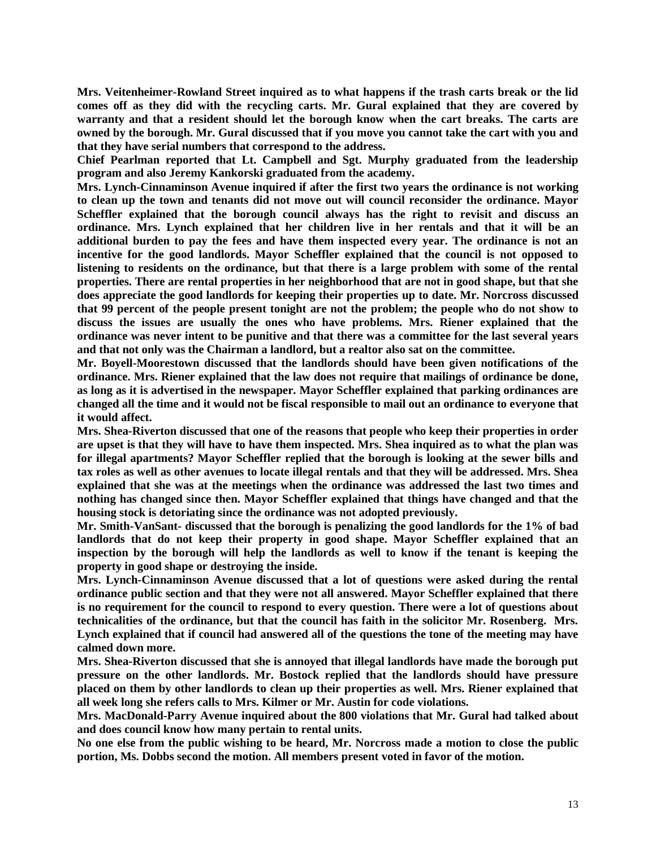**Mrs. Veitenheimer-Rowland Street inquired as to what happens if the trash carts break or the lid comes off as they did with the recycling carts. Mr. Gural explained that they are covered by warranty and that a resident should let the borough know when the cart breaks. The carts are owned by the borough. Mr. Gural discussed that if you move you cannot take the cart with you and that they have serial numbers that correspond to the address.** 

**Chief Pearlman reported that Lt. Campbell and Sgt. Murphy graduated from the leadership program and also Jeremy Kankorski graduated from the academy.**

**Mrs. Lynch-Cinnaminson Avenue inquired if after the first two years the ordinance is not working to clean up the town and tenants did not move out will council reconsider the ordinance. Mayor Scheffler explained that the borough council always has the right to revisit and discuss an ordinance. Mrs. Lynch explained that her children live in her rentals and that it will be an additional burden to pay the fees and have them inspected every year. The ordinance is not an incentive for the good landlords. Mayor Scheffler explained that the council is not opposed to listening to residents on the ordinance, but that there is a large problem with some of the rental properties. There are rental properties in her neighborhood that are not in good shape, but that she does appreciate the good landlords for keeping their properties up to date. Mr. Norcross discussed that 99 percent of the people present tonight are not the problem; the people who do not show to discuss the issues are usually the ones who have problems. Mrs. Riener explained that the ordinance was never intent to be punitive and that there was a committee for the last several years and that not only was the Chairman a landlord, but a realtor also sat on the committee.** 

**Mr. Boyell-Moorestown discussed that the landlords should have been given notifications of the ordinance. Mrs. Riener explained that the law does not require that mailings of ordinance be done, as long as it is advertised in the newspaper. Mayor Scheffler explained that parking ordinances are changed all the time and it would not be fiscal responsible to mail out an ordinance to everyone that it would affect.** 

**Mrs. Shea-Riverton discussed that one of the reasons that people who keep their properties in order are upset is that they will have to have them inspected. Mrs. Shea inquired as to what the plan was for illegal apartments? Mayor Scheffler replied that the borough is looking at the sewer bills and tax roles as well as other avenues to locate illegal rentals and that they will be addressed. Mrs. Shea explained that she was at the meetings when the ordinance was addressed the last two times and nothing has changed since then. Mayor Scheffler explained that things have changed and that the housing stock is detoriating since the ordinance was not adopted previously.** 

**Mr. Smith-VanSant- discussed that the borough is penalizing the good landlords for the 1% of bad landlords that do not keep their property in good shape. Mayor Scheffler explained that an inspection by the borough will help the landlords as well to know if the tenant is keeping the property in good shape or destroying the inside.** 

**Mrs. Lynch-Cinnaminson Avenue discussed that a lot of questions were asked during the rental ordinance public section and that they were not all answered. Mayor Scheffler explained that there is no requirement for the council to respond to every question. There were a lot of questions about technicalities of the ordinance, but that the council has faith in the solicitor Mr. Rosenberg. Mrs. Lynch explained that if council had answered all of the questions the tone of the meeting may have calmed down more.** 

**Mrs. Shea-Riverton discussed that she is annoyed that illegal landlords have made the borough put pressure on the other landlords. Mr. Bostock replied that the landlords should have pressure placed on them by other landlords to clean up their properties as well. Mrs. Riener explained that all week long she refers calls to Mrs. Kilmer or Mr. Austin for code violations.** 

**Mrs. MacDonald-Parry Avenue inquired about the 800 violations that Mr. Gural had talked about and does council know how many pertain to rental units.**

**No one else from the public wishing to be heard, Mr. Norcross made a motion to close the public portion, Ms. Dobbs second the motion. All members present voted in favor of the motion.**